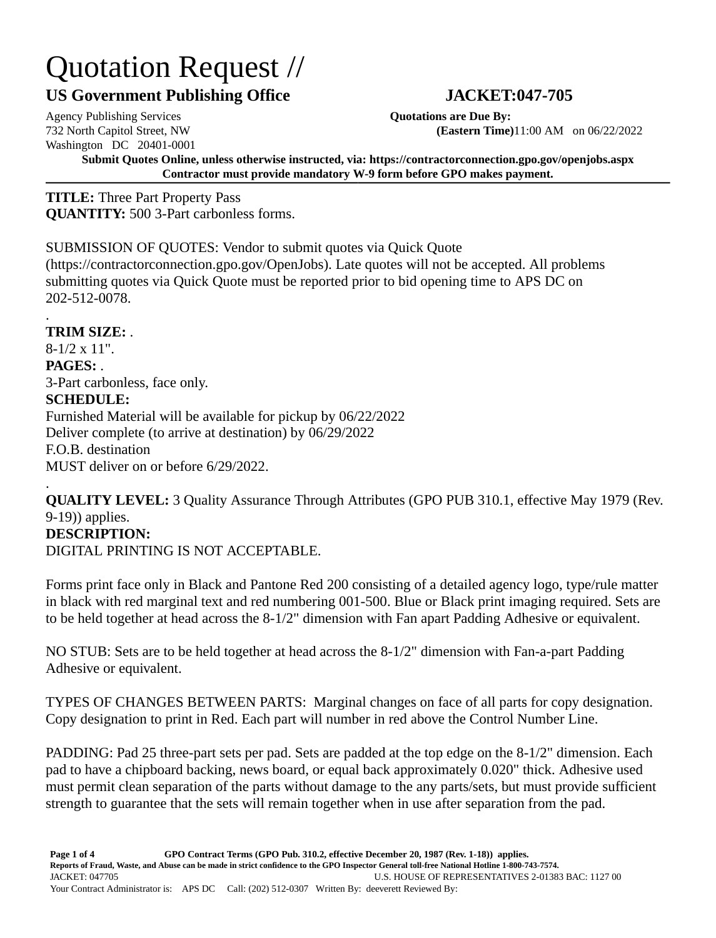## Quotation Request //

## **US Government Publishing Office JACKET:047-705**

Agency Publishing Services **Quotations are Due By:** Washington DC 20401-0001

732 North Capitol Street, NW **(Eastern Time)**11:00 AM on 06/22/2022

**Submit Quotes Online, unless otherwise instructed, via: https://contractorconnection.gpo.gov/openjobs.aspx Contractor must provide mandatory W-9 form before GPO makes payment.**

**TITLE:** Three Part Property Pass **QUANTITY:** 500 3-Part carbonless forms.

SUBMISSION OF QUOTES: Vendor to submit quotes via Quick Quote

(https://contractorconnection.gpo.gov/OpenJobs). Late quotes will not be accepted. All problems submitting quotes via Quick Quote must be reported prior to bid opening time to APS DC on 202-512-0078.

. **TRIM SIZE:** .

8-1/2 x 11". **PAGES:** . 3-Part carbonless, face only. **SCHEDULE:** Furnished Material will be available for pickup by 06/22/2022 Deliver complete (to arrive at destination) by 06/29/2022 F.O.B. destination MUST deliver on or before 6/29/2022.

. **QUALITY LEVEL:** 3 Quality Assurance Through Attributes (GPO PUB 310.1, effective May 1979 (Rev. 9-19)) applies. **DESCRIPTION:**

DIGITAL PRINTING IS NOT ACCEPTABLE.

Forms print face only in Black and Pantone Red 200 consisting of a detailed agency logo, type/rule matter in black with red marginal text and red numbering 001-500. Blue or Black print imaging required. Sets are to be held together at head across the 8-1/2" dimension with Fan apart Padding Adhesive or equivalent.

NO STUB: Sets are to be held together at head across the 8-1/2" dimension with Fan-a-part Padding Adhesive or equivalent.

TYPES OF CHANGES BETWEEN PARTS: Marginal changes on face of all parts for copy designation. Copy designation to print in Red. Each part will number in red above the Control Number Line.

PADDING: Pad 25 three-part sets per pad. Sets are padded at the top edge on the 8-1/2" dimension. Each pad to have a chipboard backing, news board, or equal back approximately 0.020" thick. Adhesive used must permit clean separation of the parts without damage to the any parts/sets, but must provide sufficient strength to guarantee that the sets will remain together when in use after separation from the pad.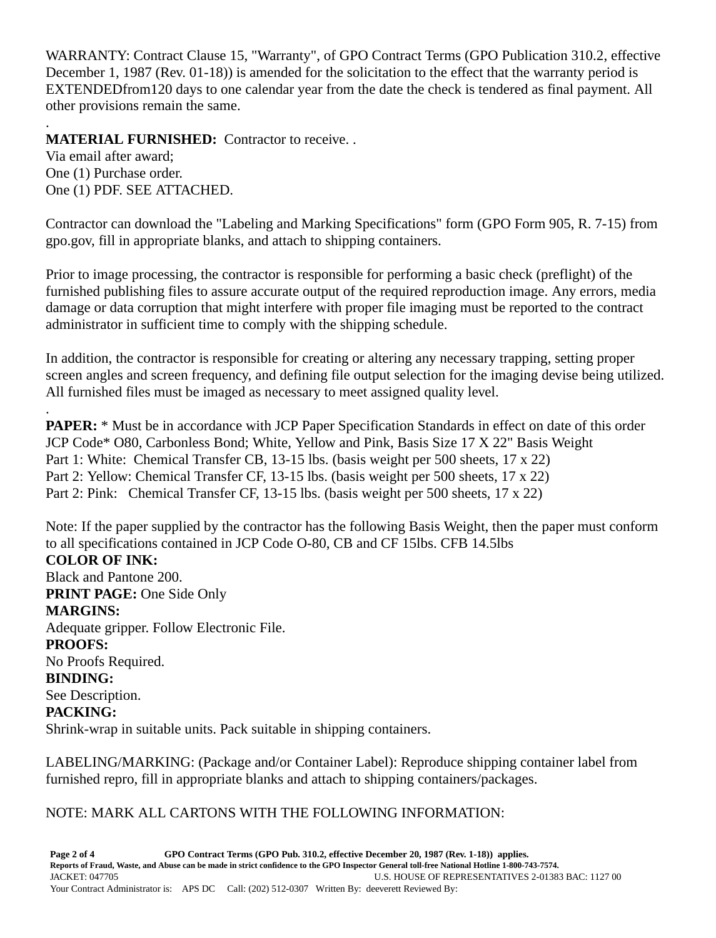WARRANTY: Contract Clause 15, "Warranty", of GPO Contract Terms (GPO Publication 310.2, effective December 1, 1987 (Rev. 01-18)) is amended for the solicitation to the effect that the warranty period is EXTENDEDfrom120 days to one calendar year from the date the check is tendered as final payment. All other provisions remain the same.

. **MATERIAL FURNISHED:** Contractor to receive. .

Via email after award; One (1) Purchase order. One (1) PDF. SEE ATTACHED.

.

Contractor can download the "Labeling and Marking Specifications" form (GPO Form 905, R. 7-15) from gpo.gov, fill in appropriate blanks, and attach to shipping containers.

Prior to image processing, the contractor is responsible for performing a basic check (preflight) of the furnished publishing files to assure accurate output of the required reproduction image. Any errors, media damage or data corruption that might interfere with proper file imaging must be reported to the contract administrator in sufficient time to comply with the shipping schedule.

In addition, the contractor is responsible for creating or altering any necessary trapping, setting proper screen angles and screen frequency, and defining file output selection for the imaging devise being utilized. All furnished files must be imaged as necessary to meet assigned quality level.

**PAPER:** \* Must be in accordance with JCP Paper Specification Standards in effect on date of this order JCP Code\* O80, Carbonless Bond; White, Yellow and Pink, Basis Size 17 X 22" Basis Weight Part 1: White: Chemical Transfer CB, 13-15 lbs. (basis weight per 500 sheets, 17 x 22) Part 2: Yellow: Chemical Transfer CF, 13-15 lbs. (basis weight per 500 sheets, 17 x 22) Part 2: Pink: Chemical Transfer CF, 13-15 lbs. (basis weight per 500 sheets, 17 x 22)

Note: If the paper supplied by the contractor has the following Basis Weight, then the paper must conform to all specifications contained in JCP Code O-80, CB and CF 15lbs. CFB 14.5lbs **COLOR OF INK:** Black and Pantone 200. **PRINT PAGE:** One Side Only **MARGINS:** Adequate gripper. Follow Electronic File. **PROOFS:** No Proofs Required. **BINDING:** See Description. **PACKING:** Shrink-wrap in suitable units. Pack suitable in shipping containers.

LABELING/MARKING: (Package and/or Container Label): Reproduce shipping container label from furnished repro, fill in appropriate blanks and attach to shipping containers/packages.

## NOTE: MARK ALL CARTONS WITH THE FOLLOWING INFORMATION: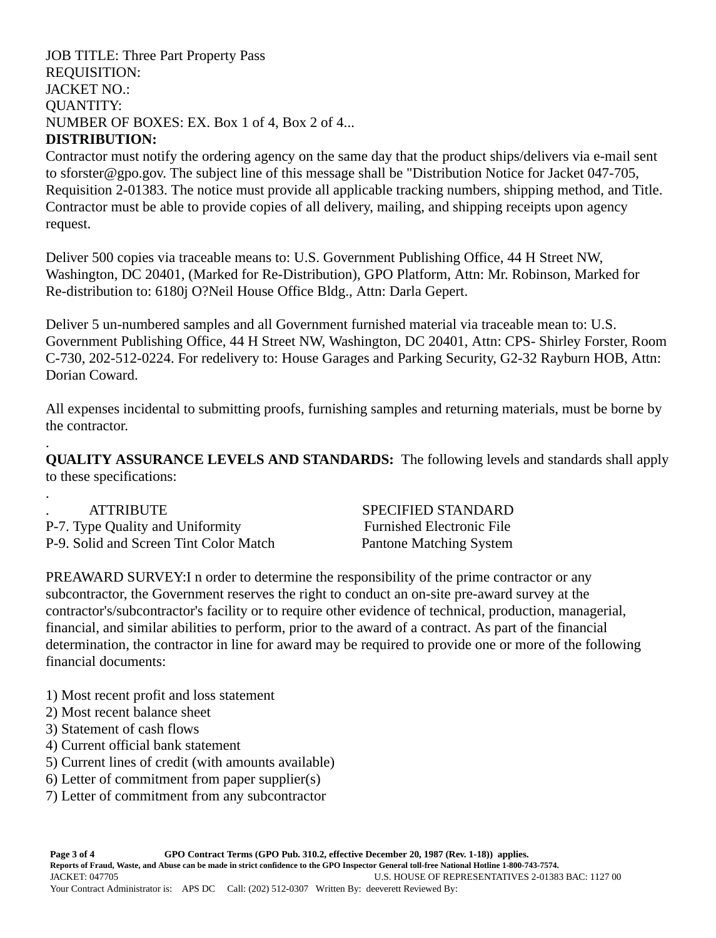JOB TITLE: Three Part Property Pass REQUISITION: JACKET NO.: QUANTITY: NUMBER OF BOXES: EX. Box 1 of 4, Box 2 of 4... **DISTRIBUTION:**

Contractor must notify the ordering agency on the same day that the product ships/delivers via e-mail sent to sforster@gpo.gov. The subject line of this message shall be "Distribution Notice for Jacket 047-705, Requisition 2-01383. The notice must provide all applicable tracking numbers, shipping method, and Title. Contractor must be able to provide copies of all delivery, mailing, and shipping receipts upon agency request.

Deliver 500 copies via traceable means to: U.S. Government Publishing Office, 44 H Street NW, Washington, DC 20401, (Marked for Re-Distribution), GPO Platform, Attn: Mr. Robinson, Marked for Re-distribution to: 6180j O?Neil House Office Bldg., Attn: Darla Gepert.

Deliver 5 un-numbered samples and all Government furnished material via traceable mean to: U.S. Government Publishing Office, 44 H Street NW, Washington, DC 20401, Attn: CPS- Shirley Forster, Room C-730, 202-512-0224. For redelivery to: House Garages and Parking Security, G2-32 Rayburn HOB, Attn: Dorian Coward.

All expenses incidental to submitting proofs, furnishing samples and returning materials, must be borne by the contractor.

**QUALITY ASSURANCE LEVELS AND STANDARDS:** The following levels and standards shall apply to these specifications:

| <b>ATTRIBUTE</b>                       | SPECIFIED STANDARD               |
|----------------------------------------|----------------------------------|
| P-7. Type Quality and Uniformity       | <b>Furnished Electronic File</b> |
| P-9. Solid and Screen Tint Color Match | Pantone Matching System          |

PREAWARD SURVEY:I n order to determine the responsibility of the prime contractor or any subcontractor, the Government reserves the right to conduct an on-site pre-award survey at the contractor's/subcontractor's facility or to require other evidence of technical, production, managerial, financial, and similar abilities to perform, prior to the award of a contract. As part of the financial determination, the contractor in line for award may be required to provide one or more of the following financial documents:

- 1) Most recent profit and loss statement
- 2) Most recent balance sheet
- 3) Statement of cash flows

.

.

- 4) Current official bank statement
- 5) Current lines of credit (with amounts available)
- 6) Letter of commitment from paper supplier(s)
- 7) Letter of commitment from any subcontractor